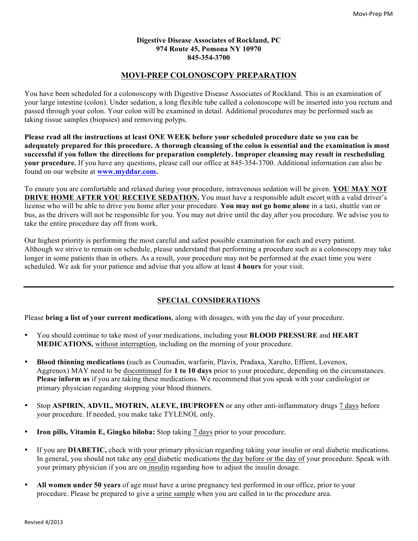#### **Digestive Disease Associates of Rockland, PC 974 Route 45, Pomona NY 10970 845-354-3700**

# **MOVI-PREP COLONOSCOPY PREPARATION**

You have been scheduled for a colonoscopy with Digestive Disease Associates of Rockland. This is an examination of your large intestine (colon). Under sedation, a long flexible tube called a colonoscope will be inserted into you rectum and passed through your colon. Your colon will be examined in detail. Additional procedures may be performed such as taking tissue samples (biopsies) and removing polyps.

**Please read all the instructions at least ONE WEEK before your scheduled procedure date so you can be adequately prepared for this procedure. A thorough cleansing of the colon is essential and the examination is most successful if you follow the directions for preparation completely. Improper cleansing may result in rescheduling your procedure.** If you have any questions, please call our office at 845-354-3700. Additional information can also be found on our website at **www.myddar.com.**

To ensure you are comfortable and relaxed during your procedure, intravenous sedation will be given. **YOU MAY NOT DRIVE HOME AFTER YOU RECEIVE SEDATION.** You must have a responsible adult escort with a valid driver's license who will be able to drive you home after your procedure. **You may not go home alone** in a taxi, shuttle van or bus, as the drivers will not be responsible for you. You may not drive until the day after you procedure. We advise you to take the entire procedure day off from work.

Our highest priority is performing the most careful and safest possible examination for each and every patient. Although we strive to remain on schedule, please understand that performing a procedure such as a colonoscopy may take longer in some patients than in others. As a result, your procedure may not be performed at the exact time you were scheduled. We ask for your patience and advise that you allow at least **4 hours** for your visit.

# **SPECIAL CONSIDERATIONS**

Please **bring a list of your current medications**, along with dosages, with you the day of your procedure.

- You should continue to take most of your medications, including your **BLOOD PRESSURE** and **HEART MEDICATIONS,** without interruption, including on the morning of your procedure.
- **Blood thinning medications (**such as Coumadin, warfarin, Plavix, Pradaxa, Xarelto, Effient, Lovenox, Aggrenox) MAY need to be discontinued for **1 to 10 days** prior to your procedure, depending on the circumstances. **Please inform us** if you are taking these medications. We recommend that you speak with your cardiologist or primary physician regarding stopping your blood thinners.
- Stop **ASPIRIN, ADVIL, MOTRIN, ALEVE, IBUPROFEN** or any other anti-inflammatory drugs 7 days before your procedure. If needed, you make take TYLENOL only.
- **Iron pills, Vitamin E, Gingko biloba:** Stop taking 7 days prior to your procedure.
- If you are **DIABETIC,** check with your primary physician regarding taking your insulin or oral diabetic medications. In general, you should not take any oral diabetic medications the day before or the day of your procedure. Speak with your primary physician if you are on insulin regarding how to adjust the insulin dosage.
- **All women under 50 years** of age must have a urine pregnancy test performed in our office, prior to your procedure. Please be prepared to give a urine sample when you are called in to the procedure area.